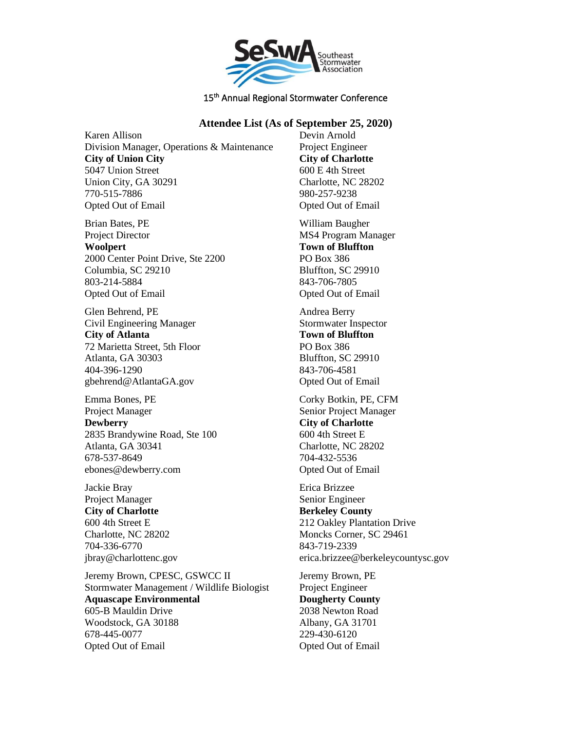

## **Attendee List (As of September 25, 2020)**

Karen Allison Division Manager, Operations & Maintenance **City of Union City** 5047 Union Street Union City, GA 30291 770-515-7886 Opted Out of Email

Brian Bates, PE Project Director **Woolpert** 2000 Center Point Drive, Ste 2200 Columbia, SC 29210 803-214-5884 Opted Out of Email

Glen Behrend, PE Civil Engineering Manager **City of Atlanta** 72 Marietta Street, 5th Floor Atlanta, GA 30303 404-396-1290 gbehrend@AtlantaGA.gov

Emma Bones, PE Project Manager **Dewberry** 2835 Brandywine Road, Ste 100 Atlanta, GA 30341 678-537-8649 ebones@dewberry.com

Jackie Bray Project Manager **City of Charlotte** 600 4th Street E Charlotte, NC 28202 704-336-6770 jbray@charlottenc.gov

Jeremy Brown, CPESC, GSWCC II Stormwater Management / Wildlife Biologist **Aquascape Environmental** 605-B Mauldin Drive Woodstock, GA 30188 678-445-0077 Opted Out of Email

Devin Arnold Project Engineer **City of Charlotte** 600 E 4th Street Charlotte, NC 28202 980-257-9238 Opted Out of Email

William Baugher MS4 Program Manager **Town of Bluffton** PO Box 386 Bluffton, SC 29910 843-706-7805 Opted Out of Email

Andrea Berry Stormwater Inspector **Town of Bluffton** PO Box 386 Bluffton, SC 29910 843-706-4581 Opted Out of Email

Corky Botkin, PE, CFM Senior Project Manager **City of Charlotte** 600 4th Street E Charlotte, NC 28202 704-432-5536 Opted Out of Email

Erica Brizzee Senior Engineer **Berkeley County** 212 Oakley Plantation Drive Moncks Corner, SC 29461 843-719-2339 erica.brizzee@berkeleycountysc.gov

Jeremy Brown, PE Project Engineer **Dougherty County** 2038 Newton Road Albany, GA 31701 229-430-6120 Opted Out of Email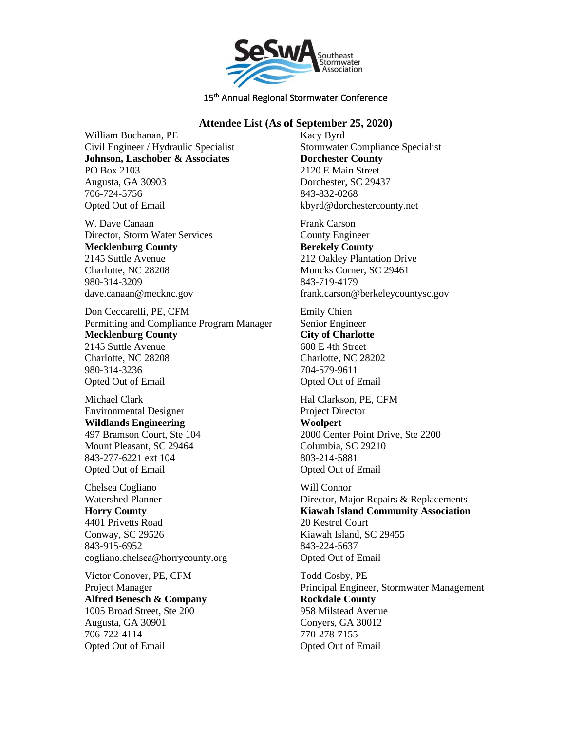

# **Attendee List (As of September 25, 2020)**

William Buchanan, PE Civil Engineer / Hydraulic Specialist **Johnson, Laschober & Associates** PO Box 2103 Augusta, GA 30903 706-724-5756 Opted Out of Email

W. Dave Canaan Director, Storm Water Services **Mecklenburg County** 2145 Suttle Avenue Charlotte, NC 28208 980-314-3209 dave.canaan@mecknc.gov

Don Ceccarelli, PE, CFM Permitting and Compliance Program Manager **Mecklenburg County** 2145 Suttle Avenue Charlotte, NC 28208 980-314-3236 Opted Out of Email

Michael Clark Environmental Designer **Wildlands Engineering** 497 Bramson Court, Ste 104 Mount Pleasant, SC 29464 843-277-6221 ext 104 Opted Out of Email

Chelsea Cogliano Watershed Planner **Horry County** 4401 Privetts Road Conway, SC 29526 843-915-6952 cogliano.chelsea@horrycounty.org

Victor Conover, PE, CFM Project Manager **Alfred Benesch & Company** 1005 Broad Street, Ste 200 Augusta, GA 30901 706-722-4114 Opted Out of Email

Kacy Byrd Stormwater Compliance Specialist **Dorchester County** 2120 E Main Street Dorchester, SC 29437 843-832-0268 kbyrd@dorchestercounty.net

Frank Carson County Engineer **Berekely County** 212 Oakley Plantation Drive Moncks Corner, SC 29461 843-719-4179 frank.carson@berkeleycountysc.gov

Emily Chien Senior Engineer **City of Charlotte** 600 E 4th Street Charlotte, NC 28202 704-579-9611 Opted Out of Email

Hal Clarkson, PE, CFM Project Director **Woolpert** 2000 Center Point Drive, Ste 2200 Columbia, SC 29210 803-214-5881 Opted Out of Email

Will Connor Director, Major Repairs & Replacements **Kiawah Island Community Association** 20 Kestrel Court Kiawah Island, SC 29455 843-224-5637 Opted Out of Email

Todd Cosby, PE Principal Engineer, Stormwater Management **Rockdale County** 958 Milstead Avenue Conyers, GA 30012 770-278-7155 Opted Out of Email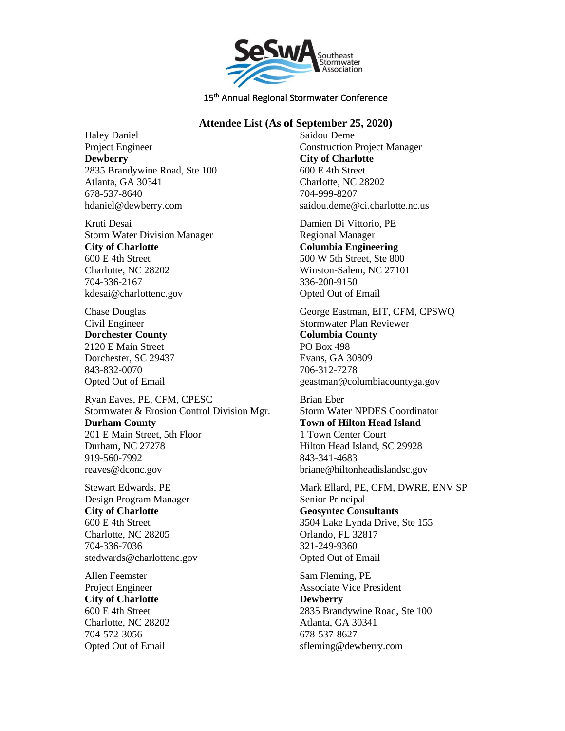

# **Attendee List (As of September 25, 2020)**

Haley Daniel Project Engineer **Dewberry** 2835 Brandywine Road, Ste 100 Atlanta, GA 30341 678-537-8640 hdaniel@dewberry.com

Kruti Desai Storm Water Division Manager **City of Charlotte** 600 E 4th Street Charlotte, NC 28202 704-336-2167 kdesai@charlottenc.gov

Chase Douglas Civil Engineer **Dorchester County** 2120 E Main Street Dorchester, SC 29437 843-832-0070 Opted Out of Email

Ryan Eaves, PE, CFM, CPESC Stormwater & Erosion Control Division Mgr. **Durham County** 201 E Main Street, 5th Floor Durham, NC 27278 919-560-7992 reaves@dconc.gov

Stewart Edwards, PE Design Program Manager **City of Charlotte** 600 E 4th Street Charlotte, NC 28205 704-336-7036 stedwards@charlottenc.gov

Allen Feemster Project Engineer **City of Charlotte** 600 E 4th Street Charlotte, NC 28202 704-572-3056 Opted Out of Email

Saidou Deme Construction Project Manager **City of Charlotte** 600 E 4th Street Charlotte, NC 28202 704-999-8207 saidou.deme@ci.charlotte.nc.us

Damien Di Vittorio, PE Regional Manager **Columbia Engineering** 500 W 5th Street, Ste 800 Winston-Salem, NC 27101 336-200-9150 Opted Out of Email

George Eastman, EIT, CFM, CPSWQ Stormwater Plan Reviewer **Columbia County** PO Box 498 Evans, GA 30809 706-312-7278 geastman@columbiacountyga.gov

Brian Eber Storm Water NPDES Coordinator **Town of Hilton Head Island** 1 Town Center Court Hilton Head Island, SC 29928 843-341-4683 briane@hiltonheadislandsc.gov

Mark Ellard, PE, CFM, DWRE, ENV SP Senior Principal **Geosyntec Consultants** 3504 Lake Lynda Drive, Ste 155 Orlando, FL 32817 321-249-9360 Opted Out of Email

Sam Fleming, PE Associate Vice President **Dewberry** 2835 Brandywine Road, Ste 100 Atlanta, GA 30341 678-537-8627 sfleming@dewberry.com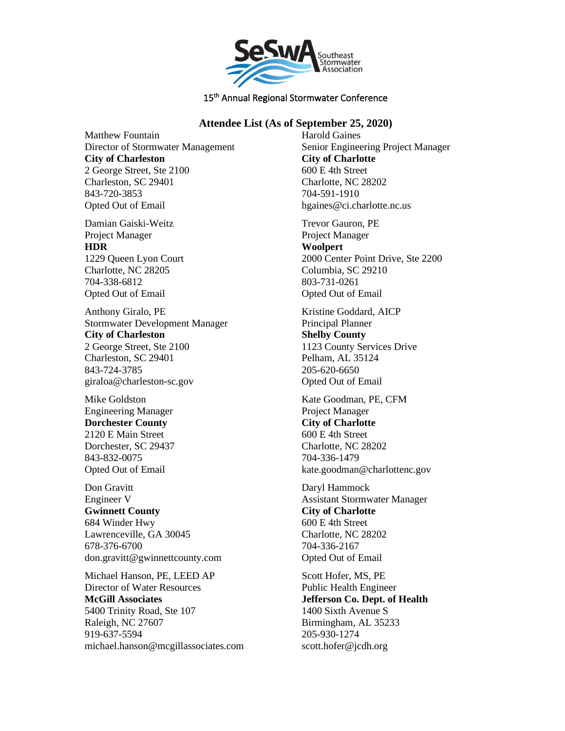

## **Attendee List (As of September 25, 2020)**

Matthew Fountain Director of Stormwater Management **City of Charleston** 2 George Street, Ste 2100 Charleston, SC 29401 843-720-3853 Opted Out of Email

Damian Gaiski-Weitz Project Manager **HDR** 1229 Queen Lyon Court Charlotte, NC 28205 704-338-6812 Opted Out of Email

Anthony Giralo, PE Stormwater Development Manager **City of Charleston** 2 George Street, Ste 2100 Charleston, SC 29401 843-724-3785 giraloa@charleston-sc.gov

Mike Goldston Engineering Manager **Dorchester County** 2120 E Main Street Dorchester, SC 29437 843-832-0075 Opted Out of Email

Don Gravitt Engineer V **Gwinnett County** 684 Winder Hwy Lawrenceville, GA 30045 678-376-6700 don.gravitt@gwinnettcounty.com

Michael Hanson, PE, LEED AP Director of Water Resources **McGill Associates** 5400 Trinity Road, Ste 107 Raleigh, NC 27607 919-637-5594 michael.hanson@mcgillassociates.com Harold Gaines Senior Engineering Project Manager **City of Charlotte** 600 E 4th Street Charlotte, NC 28202 704-591-1910 hgaines@ci.charlotte.nc.us

Trevor Gauron, PE Project Manager **Woolpert** 2000 Center Point Drive, Ste 2200 Columbia, SC 29210 803-731-0261 Opted Out of Email

Kristine Goddard, AICP Principal Planner **Shelby County** 1123 County Services Drive Pelham, AL 35124 205-620-6650 Opted Out of Email

Kate Goodman, PE, CFM Project Manager **City of Charlotte** 600 E 4th Street Charlotte, NC 28202 704-336-1479 kate.goodman@charlottenc.gov

Daryl Hammock Assistant Stormwater Manager **City of Charlotte** 600 E 4th Street Charlotte, NC 28202 704-336-2167 Opted Out of Email

Scott Hofer, MS, PE Public Health Engineer **Jefferson Co. Dept. of Health** 1400 Sixth Avenue S Birmingham, AL 35233 205-930-1274 scott.hofer@jcdh.org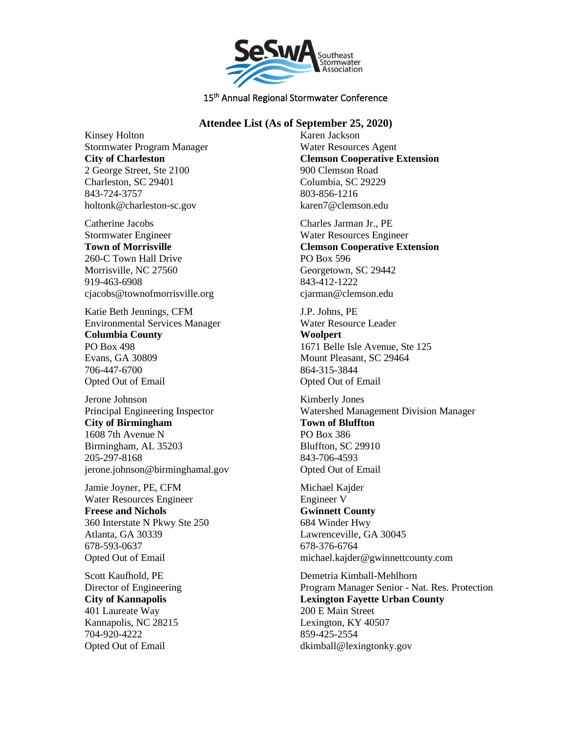

## **Attendee List (As of September 25, 2020)**

Kinsey Holton Stormwater Program Manager **City of Charleston** 2 George Street, Ste 2100 Charleston, SC 29401 843-724-3757 holtonk@charleston-sc.gov

Catherine Jacobs Stormwater Engineer **Town of Morrisville** 260-C Town Hall Drive Morrisville, NC 27560 919-463-6908 cjacobs@townofmorrisville.org

Katie Beth Jennings, CFM Environmental Services Manager **Columbia County** PO Box 498 Evans, GA 30809 706-447-6700 Opted Out of Email

Jerone Johnson Principal Engineering Inspector **City of Birmingham** 1608 7th Avenue N Birmingham, AL 35203 205-297-8168 jerone.johnson@birminghamal.gov

Jamie Joyner, PE, CFM Water Resources Engineer **Freese and Nichols** 360 Interstate N Pkwy Ste 250 Atlanta, GA 30339 678-593-0637 Opted Out of Email

Scott Kaufhold, PE Director of Engineering **City of Kannapolis** 401 Laureate Way Kannapolis, NC 28215 704-920-4222 Opted Out of Email

Karen Jackson Water Resources Agent **Clemson Cooperative Extension** 900 Clemson Road Columbia, SC 29229 803-856-1216 karen7@clemson.edu

Charles Jarman Jr., PE Water Resources Engineer **Clemson Cooperative Extension** PO Box 596 Georgetown, SC 29442 843-412-1222 cjarman@clemson.edu

J.P. Johns, PE Water Resource Leader **Woolpert** 1671 Belle Isle Avenue, Ste 125 Mount Pleasant, SC 29464 864-315-3844 Opted Out of Email

Kimberly Jones Watershed Management Division Manager **Town of Bluffton** PO Box 386 Bluffton, SC 29910 843-706-4593 Opted Out of Email

Michael Kajder Engineer V **Gwinnett County** 684 Winder Hwy Lawrenceville, GA 30045 678-376-6764 michael.kajder@gwinnettcounty.com

Demetria Kimball-Mehlhorn Program Manager Senior - Nat. Res. Protection **Lexington Fayette Urban County** 200 E Main Street Lexington, KY 40507 859-425-2554 dkimball@lexingtonky.gov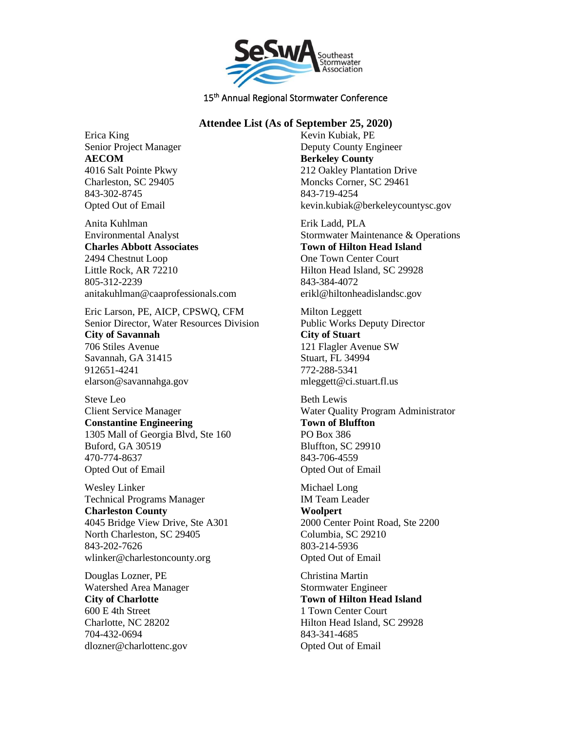

# **Attendee List (As of September 25, 2020)**

Erica King Senior Project Manager **AECOM** 4016 Salt Pointe Pkwy Charleston, SC 29405 843-302-8745 Opted Out of Email

Anita Kuhlman Environmental Analyst **Charles Abbott Associates** 2494 Chestnut Loop Little Rock, AR 72210 805-312-2239 anitakuhlman@caaprofessionals.com

Eric Larson, PE, AICP, CPSWQ, CFM Senior Director, Water Resources Division **City of Savannah** 706 Stiles Avenue Savannah, GA 31415 912651-4241 elarson@savannahga.gov

Steve Leo Client Service Manager **Constantine Engineering** 1305 Mall of Georgia Blvd, Ste 160 Buford, GA 30519 470-774-8637 Opted Out of Email

Wesley Linker Technical Programs Manager **Charleston County** 4045 Bridge View Drive, Ste A301 North Charleston, SC 29405 843-202-7626 wlinker@charlestoncounty.org

Douglas Lozner, PE Watershed Area Manager **City of Charlotte** 600 E 4th Street Charlotte, NC 28202 704-432-0694 dlozner@charlottenc.gov

Kevin Kubiak, PE Deputy County Engineer **Berkeley County** 212 Oakley Plantation Drive Moncks Corner, SC 29461 843-719-4254 kevin.kubiak@berkeleycountysc.gov

Erik Ladd, PLA Stormwater Maintenance & Operations **Town of Hilton Head Island** One Town Center Court Hilton Head Island, SC 29928 843-384-4072 erikl@hiltonheadislandsc.gov

Milton Leggett Public Works Deputy Director **City of Stuart** 121 Flagler Avenue SW Stuart, FL 34994 772-288-5341 mleggett@ci.stuart.fl.us

Beth Lewis Water Quality Program Administrator **Town of Bluffton** PO Box 386 Bluffton, SC 29910 843-706-4559 Opted Out of Email

Michael Long IM Team Leader **Woolpert** 2000 Center Point Road, Ste 2200 Columbia, SC 29210 803-214-5936 Opted Out of Email

Christina Martin Stormwater Engineer **Town of Hilton Head Island** 1 Town Center Court Hilton Head Island, SC 29928 843-341-4685 Opted Out of Email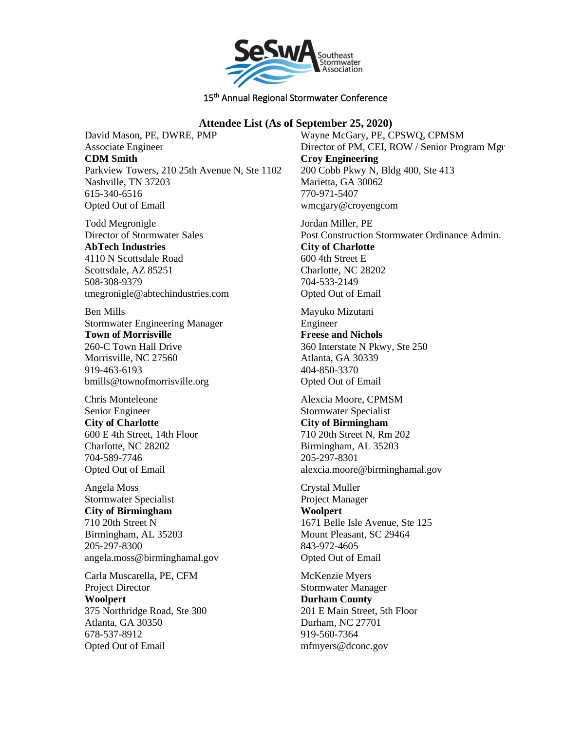

# **Attendee List (As of September 25, 2020)**

David Mason, PE, DWRE, PMP Associate Engineer **CDM Smith** Parkview Towers, 210 25th Avenue N, Ste 1102 Nashville, TN 37203 615-340-6516 Opted Out of Email

Todd Megronigle Director of Stormwater Sales **AbTech Industries** 4110 N Scottsdale Road Scottsdale, AZ 85251 508-308-9379 tmegronigle@abtechindustries.com

Ben Mills Stormwater Engineering Manager **Town of Morrisville** 260-C Town Hall Drive Morrisville, NC 27560 919-463-6193 bmills@townofmorrisville.org

Chris Monteleone Senior Engineer **City of Charlotte** 600 E 4th Street, 14th Floor Charlotte, NC 28202 704-589-7746 Opted Out of Email

Angela Moss Stormwater Specialist **City of Birmingham** 710 20th Street N Birmingham, AL 35203 205-297-8300 angela.moss@birminghamal.gov

Carla Muscarella, PE, CFM Project Director **Woolpert** 375 Northridge Road, Ste 300 Atlanta, GA 30350 678-537-8912 Opted Out of Email

Wayne McGary, PE, CPSWQ, CPMSM Director of PM, CEI, ROW / Senior Program Mgr **Croy Engineering** 200 Cobb Pkwy N, Bldg 400, Ste 413 Marietta, GA 30062 770-971-5407 wmcgary@croyengcom

Jordan Miller, PE Post Construction Stormwater Ordinance Admin. **City of Charlotte** 600 4th Street E Charlotte, NC 28202 704-533-2149 Opted Out of Email

Mayuko Mizutani Engineer **Freese and Nichols** 360 Interstate N Pkwy, Ste 250 Atlanta, GA 30339 404-850-3370 Opted Out of Email

Alexcia Moore, CPMSM Stormwater Specialist **City of Birmingham** 710 20th Street N, Rm 202 Birmingham, AL 35203 205-297-8301 alexcia.moore@birminghamal.gov

Crystal Muller Project Manager **Woolpert** 1671 Belle Isle Avenue, Ste 125 Mount Pleasant, SC 29464 843-972-4605 Opted Out of Email

McKenzie Myers Stormwater Manager **Durham County** 201 E Main Street, 5th Floor Durham, NC 27701 919-560-7364 mfmyers@dconc.gov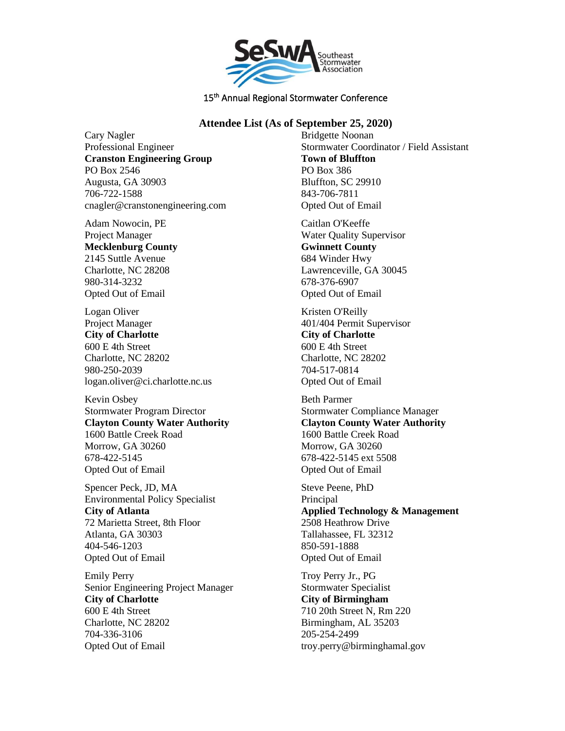

## **Attendee List (As of September 25, 2020)**

Cary Nagler Professional Engineer **Cranston Engineering Group** PO Box 2546 Augusta, GA 30903 706-722-1588 cnagler@cranstonengineering.com

Adam Nowocin, PE Project Manager **Mecklenburg County** 2145 Suttle Avenue Charlotte, NC 28208 980-314-3232 Opted Out of Email

Logan Oliver Project Manager **City of Charlotte** 600 E 4th Street Charlotte, NC 28202 980-250-2039 logan.oliver@ci.charlotte.nc.us

Kevin Osbey Stormwater Program Director **Clayton County Water Authority** 1600 Battle Creek Road Morrow, GA 30260 678-422-5145 Opted Out of Email

Spencer Peck, JD, MA Environmental Policy Specialist **City of Atlanta** 72 Marietta Street, 8th Floor Atlanta, GA 30303 404-546-1203 Opted Out of Email

Emily Perry Senior Engineering Project Manager **City of Charlotte** 600 E 4th Street Charlotte, NC 28202 704-336-3106 Opted Out of Email

Bridgette Noonan Stormwater Coordinator / Field Assistant **Town of Bluffton** PO Box 386 Bluffton, SC 29910 843-706-7811 Opted Out of Email

Caitlan O'Keeffe Water Quality Supervisor **Gwinnett County** 684 Winder Hwy Lawrenceville, GA 30045 678-376-6907 Opted Out of Email

Kristen O'Reilly 401/404 Permit Supervisor **City of Charlotte** 600 E 4th Street Charlotte, NC 28202 704-517-0814 Opted Out of Email

Beth Parmer Stormwater Compliance Manager **Clayton County Water Authority** 1600 Battle Creek Road Morrow, GA 30260 678-422-5145 ext 5508 Opted Out of Email

Steve Peene, PhD **Principal Applied Technology & Management** 2508 Heathrow Drive Tallahassee, FL 32312 850-591-1888 Opted Out of Email

Troy Perry Jr., PG Stormwater Specialist **City of Birmingham** 710 20th Street N, Rm 220 Birmingham, AL 35203 205-254-2499 troy.perry@birminghamal.gov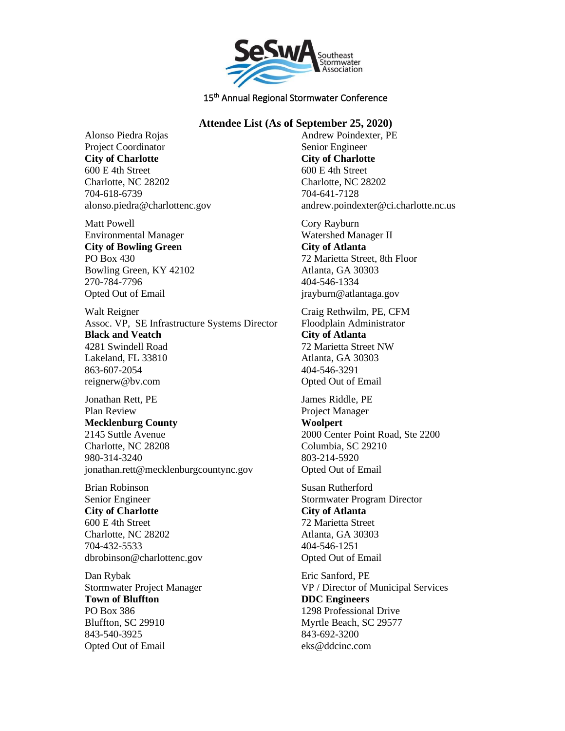

## **Attendee List (As of September 25, 2020)**

Alonso Piedra Rojas Project Coordinator **City of Charlotte** 600 E 4th Street Charlotte, NC 28202 704-618-6739 alonso.piedra@charlottenc.gov

Matt Powell Environmental Manager **City of Bowling Green** PO Box 430 Bowling Green, KY 42102 270-784-7796 Opted Out of Email

Walt Reigner Assoc. VP, SE Infrastructure Systems Director **Black and Veatch** 4281 Swindell Road Lakeland, FL 33810 863-607-2054 reignerw@bv.com

Jonathan Rett, PE Plan Review **Mecklenburg County** 2145 Suttle Avenue Charlotte, NC 28208 980-314-3240 jonathan.rett@mecklenburgcountync.gov

Brian Robinson Senior Engineer **City of Charlotte** 600 E 4th Street Charlotte, NC 28202 704-432-5533 dbrobinson@charlottenc.gov

Dan Rybak Stormwater Project Manager **Town of Bluffton** PO Box 386 Bluffton, SC 29910 843-540-3925 Opted Out of Email

Andrew Poindexter, PE Senior Engineer **City of Charlotte** 600 E 4th Street Charlotte, NC 28202 704-641-7128 andrew.poindexter@ci.charlotte.nc.us

Cory Rayburn Watershed Manager II **City of Atlanta** 72 Marietta Street, 8th Floor Atlanta, GA 30303 404-546-1334 jrayburn@atlantaga.gov

Craig Rethwilm, PE, CFM Floodplain Administrator **City of Atlanta** 72 Marietta Street NW Atlanta, GA 30303 404-546-3291 Opted Out of Email

James Riddle, PE Project Manager **Woolpert** 2000 Center Point Road, Ste 2200 Columbia, SC 29210 803-214-5920 Opted Out of Email

Susan Rutherford Stormwater Program Director **City of Atlanta** 72 Marietta Street Atlanta, GA 30303 404-546-1251 Opted Out of Email

Eric Sanford, PE VP / Director of Municipal Services **DDC Engineers** 1298 Professional Drive Myrtle Beach, SC 29577 843-692-3200 eks@ddcinc.com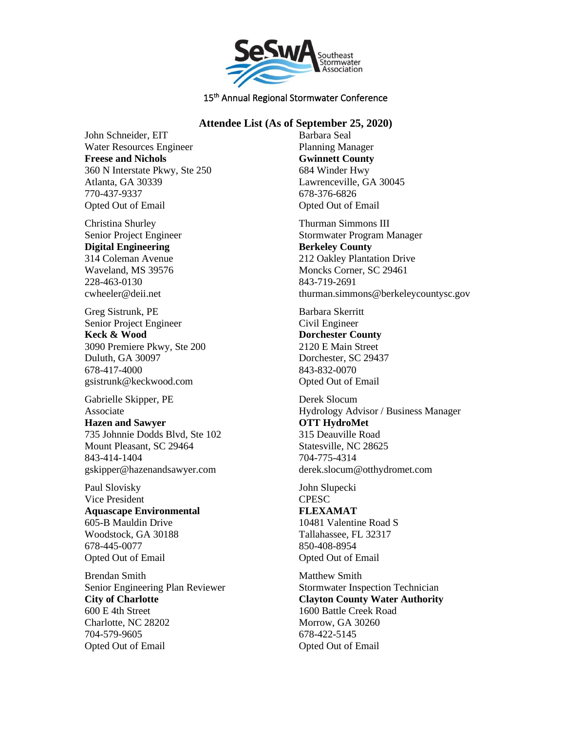

#### **Attendee List (As of September 25, 2020)**

John Schneider, EIT Water Resources Engineer **Freese and Nichols** 360 N Interstate Pkwy, Ste 250 Atlanta, GA 30339 770-437-9337 Opted Out of Email

Christina Shurley Senior Project Engineer **Digital Engineering** 314 Coleman Avenue Waveland, MS 39576 228-463-0130 cwheeler@deii.net

Greg Sistrunk, PE Senior Project Engineer **Keck & Wood** 3090 Premiere Pkwy, Ste 200 Duluth, GA 30097 678-417-4000 gsistrunk@keckwood.com

Gabrielle Skipper, PE Associate

**Hazen and Sawyer** 735 Johnnie Dodds Blvd, Ste 102 Mount Pleasant, SC 29464 843-414-1404 gskipper@hazenandsawyer.com

Paul Slovisky Vice President **Aquascape Environmental** 605-B Mauldin Drive Woodstock, GA 30188 678-445-0077 Opted Out of Email

Brendan Smith Senior Engineering Plan Reviewer **City of Charlotte** 600 E 4th Street Charlotte, NC 28202 704-579-9605 Opted Out of Email

Barbara Seal Planning Manager **Gwinnett County** 684 Winder Hwy Lawrenceville, GA 30045 678-376-6826 Opted Out of Email

Thurman Simmons III Stormwater Program Manager **Berkeley County** 212 Oakley Plantation Drive Moncks Corner, SC 29461 843-719-2691 thurman.simmons@berkeleycountysc.gov

Barbara Skerritt Civil Engineer **Dorchester County** 2120 E Main Street Dorchester, SC 29437 843-832-0070 Opted Out of Email

Derek Slocum Hydrology Advisor / Business Manager **OTT HydroMet** 315 Deauville Road Statesville, NC 28625 704-775-4314 derek.slocum@otthydromet.com

John Slupecki **CPESC** 

**FLEXAMAT** 10481 Valentine Road S Tallahassee, FL 32317 850-408-8954 Opted Out of Email

Matthew Smith Stormwater Inspection Technician **Clayton County Water Authority** 1600 Battle Creek Road Morrow, GA 30260 678-422-5145 Opted Out of Email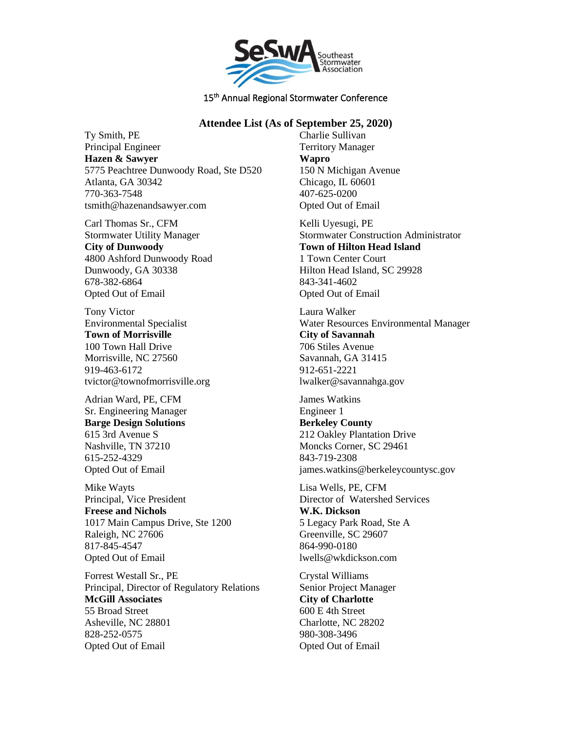

#### **Attendee List (As of September 25, 2020)**

Ty Smith, PE Principal Engineer **Hazen & Sawyer** 5775 Peachtree Dunwoody Road, Ste D520 Atlanta, GA 30342 770-363-7548 tsmith@hazenandsawyer.com

Carl Thomas Sr., CFM Stormwater Utility Manager **City of Dunwoody** 4800 Ashford Dunwoody Road Dunwoody, GA 30338 678-382-6864 Opted Out of Email

Tony Victor Environmental Specialist **Town of Morrisville** 100 Town Hall Drive Morrisville, NC 27560 919-463-6172 tvictor@townofmorrisville.org

Adrian Ward, PE, CFM Sr. Engineering Manager **Barge Design Solutions** 615 3rd Avenue S Nashville, TN 37210 615-252-4329 Opted Out of Email

Mike Wayts Principal, Vice President **Freese and Nichols** 1017 Main Campus Drive, Ste 1200 Raleigh, NC 27606 817-845-4547 Opted Out of Email

Forrest Westall Sr., PE Principal, Director of Regulatory Relations **McGill Associates** 55 Broad Street Asheville, NC 28801 828-252-0575 Opted Out of Email

Charlie Sullivan Territory Manager **Wapro** 150 N Michigan Avenue Chicago, IL 60601 407-625-0200 Opted Out of Email

Kelli Uyesugi, PE Stormwater Construction Administrator **Town of Hilton Head Island** 1 Town Center Court Hilton Head Island, SC 29928 843-341-4602 Opted Out of Email

Laura Walker Water Resources Environmental Manager **City of Savannah** 706 Stiles Avenue Savannah, GA 31415 912-651-2221 lwalker@savannahga.gov

James Watkins Engineer 1 **Berkeley County** 212 Oakley Plantation Drive Moncks Corner, SC 29461 843-719-2308 james.watkins@berkeleycountysc.gov

Lisa Wells, PE, CFM Director of Watershed Services **W.K. Dickson** 5 Legacy Park Road, Ste A Greenville, SC 29607 864-990-0180 lwells@wkdickson.com

Crystal Williams Senior Project Manager **City of Charlotte** 600 E 4th Street Charlotte, NC 28202 980-308-3496 Opted Out of Email